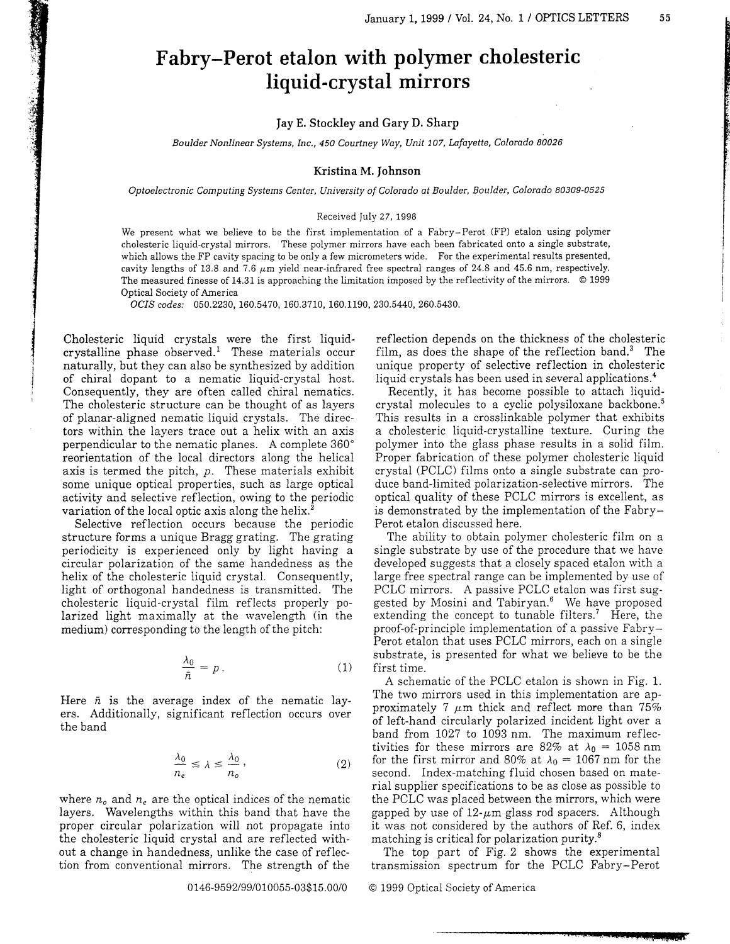## Fabry-Perot etalon with polymer cholesteric liquid-crystal mirrors

Iay E. Stockley and Gary D. Sharp

Boulder Nonlinear Systems, Inc., 450 Courtney Way, Unit 107, Lafayette, Colorado 80026

## Kristina M. Johnson

Optoelectronic Computing Systems Center, lJniversity of Colorado ot Boulder, Boulder, Colorado 80309-0525

## Received July 27, 1998

We present what we believe to be the first implementation of a Fabry-Perot (FP) etalon using polymer cholesteric liquid-crystal mirrors. These polymer mirrors have each been fabricated onto a single substrate, which allows the FP cavity spacing to be only a few micrometers wide. For the experimental results presented, cavity lengths of 13.8 and 7.6  $\mu$ m yield near-infrared free spectral ranges of 24.8 and 45.6 nm, respectively. The measured finesse of 14.31 is approaching the limitation imposed by the reflectivity of the mirrors. O 1999 Optical Society of America

OCIS codes: 050.2230, 160.5470, 160.3710, 160.1190, 230.5440, 260.5430.

Cholesteric liquid crystals were the first iiquidcrystalline phase observed.<sup>1</sup> These materials occur naturally, but they can also be synthesized by addition of chiral dopant to a nematic liquid-crystal host. Consequently, they are often called chiral nematics. The cholesteric structure can be thought of as layers of planar-aligned nematic liquid crystals. The directors within the layers trace out a helix with an axis perpendicuiar to the nematic planes. A complete 360' reorientation of the local directors along the helical axis is termed the pitch,  $p$ . These materials exhibit some unique optical properties, such as large optical activity and selective reflection, owing to the periodic variation of the local optic axis along the helix.<sup>3</sup>

Selective reflection occurs because the periodic structure forms a unique Bragg grating. The grating periodicity is experienced only by light having a circular polarization of the same handedness as the helix of the cholesteric liquid crystal. Consequently, light of orthogonal handedness is transmitted. The cholesteric liquid-crystal film reflects properly polarized light maximally at the wavelength (in the medium) corresponding to the length of the pitch:

$$
\frac{\lambda_0}{\bar{n}} = p \,.
$$
 (1)

Here  $\bar{n}$  is the average index of the nematic layers. Additionaliy, significant refiection occurs over the band

$$
\frac{\lambda_0}{n_e} \le \lambda \le \frac{\lambda_0}{n_o},\tag{2}
$$

where  $n_o$  and  $n_e$  are the optical indices of the nematic layers. Wavelengths within this band that have the proper circular polarization wili not propagate into the cholesteric liquid crystal and are reflected without a change in handedness, uniike the case of reflection from conventional mirrors. The strength of the

0146-9592/99/010055-03\$15.00/0

reflection depends on the thickness of the cholesteric film, as does the shape of the reflection band.<sup>3</sup> The unique property of selective reflection in cholesteric liquid crystals has been used in several applications.<sup>4</sup>

Recently, it has become possible to attach iiquidcrystal molecules to a cyclic polysiloxane backbone.<sup>5</sup> This results in a crosslinkable polymer that exhibits a cholesteric liquid-crystalline texture. Curing the polymer into the glass phase results in a solid film. Proper fabrication of these polymer cholesteric liquid crystal (PCLC) films onto a single substrate can produce band-limited polarization-selective mirrors. The optical quality of these PCLC mirrors is excellent, as is demonstrated by the implementation of the Fabry-Perot etalon discussed here.

The ability to obtain polymer cholesteric fiim on a single substrate by use of the procedure that we have developed suggests that a closely spaced etalon with a large free spectral range can be impiemented by use of PCLC mirrors. A passive PCLC etalon was first suggested by Mosini and Tabiryan.<sup>6</sup> We have proposed extending the concept to tunable filters.' Here, the proof-of-principle implementation of a passive Fabry-Perot etalon that uses PCLC mirrors, each on a single substrate, is presented for what we believe to be the first time.

A schematic of the PCLC etalon is shown in Fig. 1. The two mirrors used in this implementation are approximately 7  $\mu$ m thick and reflect more than 75% of left-hand circularly polarized incident light over a band from 1027 to 1093 nm. The maximum reflectivities for these mirrors are 82% at  $\lambda_0 = 1058$  nm for the first mirror and 80% at  $\lambda_0 = 1067$  nm for the second. Index-matching fluid chosen based on material supplier specifications to be as close as possible to the PCLC was placed between the mirrors, which were gapped by use of  $12$ - $\mu$ m glass rod spacers. Although it was not considered by the authors of Ref. 6, index matching is criticai for polarization purity.8

The top part of Fig. 2 shows the experimental transmission spectrum for the PCLC Fabry-Perot

O 1999 Optical Society of America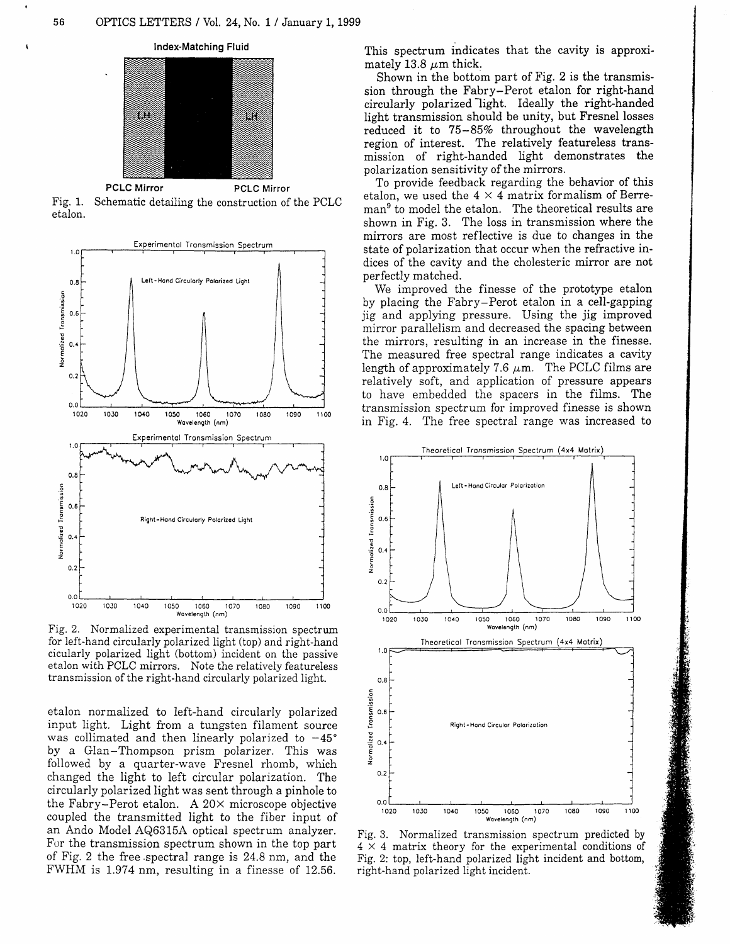

Fig. 1. Schematic detailing the construction of the PCLC etalon.



Fig. 2. Normalized experimental transmission spectrum for left-hand circulariy polarized light (top) and right-hand cicularly polarized light (bottom) incident on the passive etalon with PCLC mirrors. Note the relatively featureless transmission of the right-hand circularly polarized lighi.

etalon normalized to left-hand circularly polarized input light. Light from a tungsten filament source was collimated and then linearly polarized to  $-45^{\circ}$ by a Glan-Thompson prism polarizer. This was followed by a quarter-wave Fresnel rhomb, which changed the light to left circular poiarization. The circularly polarized light was sent through a pinhole to the Fabry-Perot etalon. A  $20 \times$  microscope objective coupled the transmitted iight to the fiber input of an Ando Model AQ6315A optical spectrum anaiyzer. For the transmission spectrum shown in the top part of Fig. 2 the free.spectral range is 24.8 nm, and the FWHM is 1.974 nm, resulting in a finesse of 12.56.

This spectrum indicates that the cavity is approximately 13.8  $\mu$ m thick.

Shown in the bottom part of Fig. 2 is the transmission through the Fabry-Perot etalon for right-hand circularly polarized light. Ideally the right-handed light transmission should be unity, but Fresnel losses reduced it to 75-85% throughout the wavelength region of interest. The relatively featureless transmission of right-handed light demonstrates the polarization sensitivity of the mirrors.

To provide feedback regarding the behavior of this etalon, we used the  $4 \times 4$  matrix formalism of Berreman<sup>9</sup> to model the etalon. The theoretical results are shown in Fig. 3. The loss in transmission where the mirrors are most reflective is due to changes in the state of polarization that occur when the refractive indices of the cavity and the cholesteric mirror are not perfectly matched.

We improved the finesse of the prototype etalon by placing the Fabry-Perot etalon in a cell-gapping jig and applying pressure. Using the jig improved mirror parallelism and decreased the spacing between the mirrors, resulting in an increase in the finesse. The measured free spectral range indicates a cavity length of approximately 7.6  $\mu$ m. The PCLC films are relatively soft, and application of pressure appears to have embedded the spacers in the films. The transmission spectrum for improved finesse is shown in Fig. 4. The free spectral range was increased to



Fig. 3. Normalized transmission spectrum predicted by  $4 \times 4$  matrix theory for the experimental conditions of Fig. 2: top, left-hand polarized light incident and bottom, right-hand polarized light incident